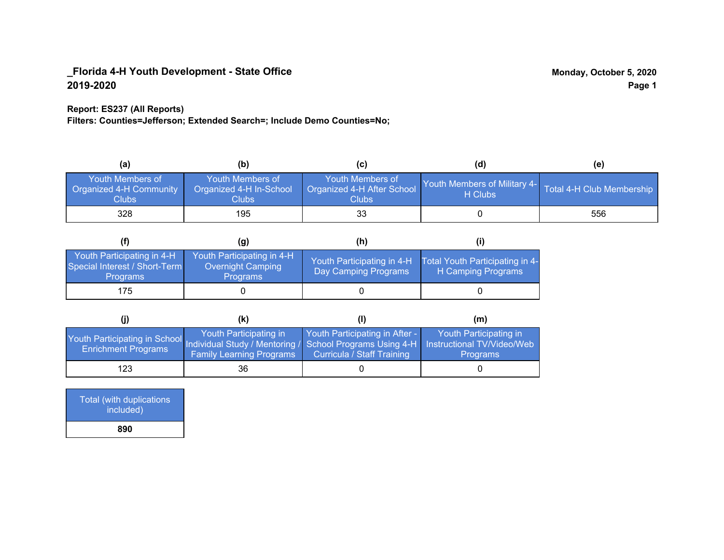## **Report: ES237 (All Reports)**

**Filters: Counties=Jefferson; Extended Search=; Include Demo Counties=No;**

| (a)                                                  | (b)                                                  | (C)                                                     | (d)                                      | (e)                       |
|------------------------------------------------------|------------------------------------------------------|---------------------------------------------------------|------------------------------------------|---------------------------|
| Youth Members of<br>Organized 4-H Community<br>Clubs | Youth Members of<br>Organized 4-H In-School<br>Clubs | Youth Members of<br>Organized 4-H After School<br>Clubs | Youth Members of Military 4-1<br>H Clubs | Total 4-H Club Membership |
| 328                                                  | 195                                                  | 33                                                      |                                          | 556                       |

|                                                                                | (g)                                                                       | (h)                                                |                                                       |
|--------------------------------------------------------------------------------|---------------------------------------------------------------------------|----------------------------------------------------|-------------------------------------------------------|
| Youth Participating in 4-H<br>Special Interest / Short-Term<br><b>Programs</b> | Youth Participating in 4-H<br><b>Overnight Camping</b><br><b>Programs</b> | Youth Participating in 4-H<br>Day Camping Programs | Total Youth Participating in 4-<br>H Camping Programs |
| 175                                                                            |                                                                           |                                                    |                                                       |

|                                                                                                                                                 | (K)                                                       |                                                                     | (m)                                       |
|-------------------------------------------------------------------------------------------------------------------------------------------------|-----------------------------------------------------------|---------------------------------------------------------------------|-------------------------------------------|
| Youth Participating in School Individual Study / Mentoring / School Programs Using 4-H Instructional TV/Video/Web<br><b>Enrichment Programs</b> | Youth Participating in<br><b>Family Learning Programs</b> | Youth Participating in After -<br><b>Curricula / Staff Training</b> | Youth Participating in<br><b>Programs</b> |
| 123                                                                                                                                             | 36                                                        |                                                                     |                                           |

| Total (with duplications<br>included) |  |
|---------------------------------------|--|
| 890                                   |  |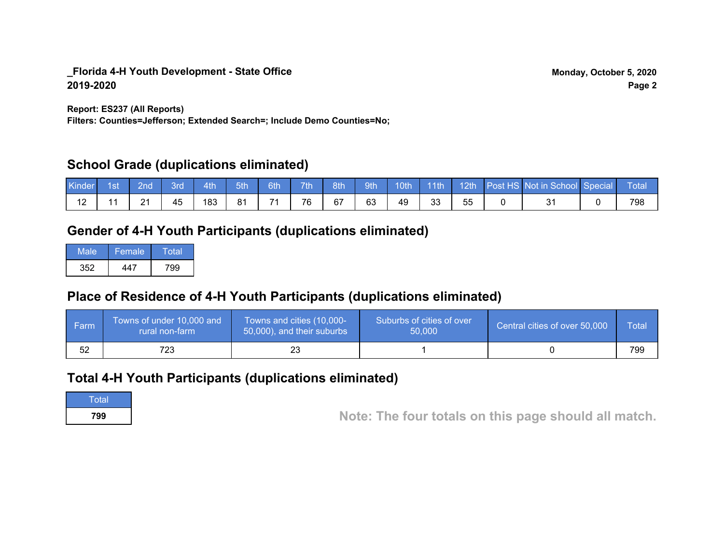**Report: ES237 (All Reports)**

**Filters: Counties=Jefferson; Extended Search=; Include Demo Counties=No;**

# **School Grade (duplications eliminated)**

| Kinder | 1st | 2nd\ | 3rd | 4th | 5th | 6th | 7th | 8th | 9th | 10th 11th |           |    | 12th Post HS Not in School Special | Total |
|--------|-----|------|-----|-----|-----|-----|-----|-----|-----|-----------|-----------|----|------------------------------------|-------|
|        |     | 21   | 45  | 183 | 81  | 74  | 76  | 67  | 63  | 49        | າາ<br>ن ن | 55 |                                    | 798   |

# **Gender of 4-H Youth Participants (duplications eliminated)**

| Male | Female | Total |
|------|--------|-------|
| 352  | 11 7   | 799   |

# **Place of Residence of 4-H Youth Participants (duplications eliminated)**

| <b>Farm</b> | Towns of under 10,000 and<br>rural non-farm | Towns and cities (10,000-<br>50,000), and their suburbs | Suburbs of cities of over<br>50,000 | Central cities of over 50,000 | Total |
|-------------|---------------------------------------------|---------------------------------------------------------|-------------------------------------|-------------------------------|-------|
| 52          | 723                                         |                                                         |                                     |                               | 799   |

# **Total 4-H Youth Participants (duplications eliminated)**

Total

**<sup>799</sup> Note: The four totals on this page should all match.**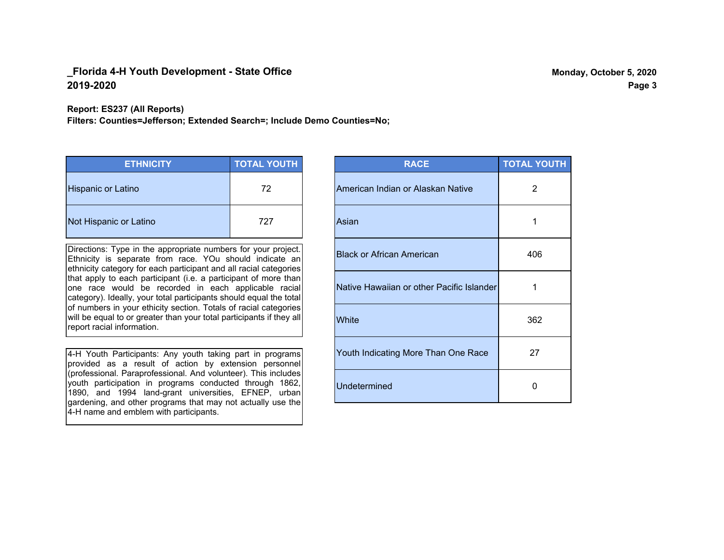#### **Report: ES237 (All Reports)**

**Filters: Counties=Jefferson; Extended Search=; Include Demo Counties=No;**

| <b>ETHNICITY</b>          | <b>TOTAL YOUTH</b> |
|---------------------------|--------------------|
| <b>Hispanic or Latino</b> | 72                 |
| Not Hispanic or Latino    | 727                |

Directions: Type in the appropriate numbers for your project. Ethnicity is separate from race. YOu should indicate an ethnicity category for each participant and all racial categories that apply to each participant (i.e. a participant of more than one race would be recorded in each applicable racial category). Ideally, your total participants should equal the total of numbers in your ethicity section. Totals of racial categories will be equal to or greater than your total participants if they all report racial information.

4-H Youth Participants: Any youth taking part in programs provided as a result of action by extension personnel (professional. Paraprofessional. And volunteer). This includes youth participation in programs conducted through 1862, 1890, and 1994 land-grant universities, EFNEP, urban gardening, and other programs that may not actually use the 4-H name and emblem with participants.

| <b>RACE</b>                               | <b>TOTAL YOUTH</b> |
|-------------------------------------------|--------------------|
| American Indian or Alaskan Native         | 2                  |
| Asian                                     | 1                  |
| <b>Black or African American</b>          | 406                |
| Native Hawaiian or other Pacific Islander | 1                  |
| White                                     | 362                |
| Youth Indicating More Than One Race       | 27                 |
| <b>Undetermined</b>                       | 0                  |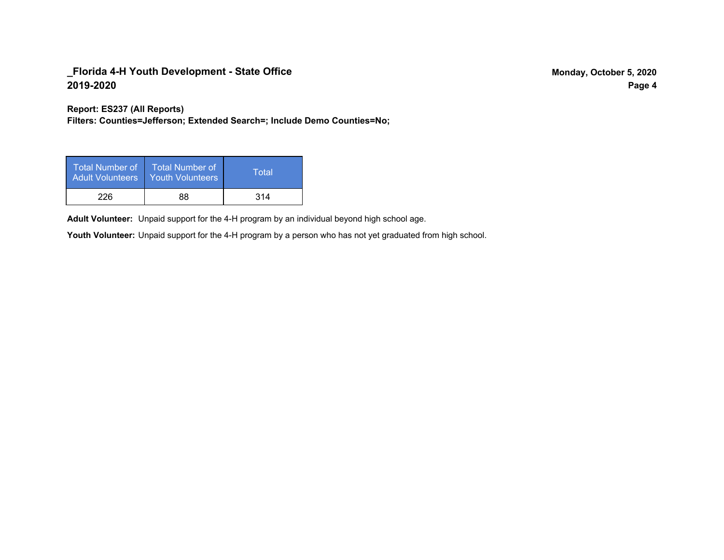**Report: ES237 (All Reports)**

**Filters: Counties=Jefferson; Extended Search=; Include Demo Counties=No;**

| Total Number of<br><b>Adult Volunteers</b> | <b>Total Number of</b><br><b>Youth Volunteers</b> | Total |
|--------------------------------------------|---------------------------------------------------|-------|
| 226                                        | 88                                                | 314   |

Adult Volunteer: Unpaid support for the 4-H program by an individual beyond high school age.

Youth Volunteer: Unpaid support for the 4-H program by a person who has not yet graduated from high school.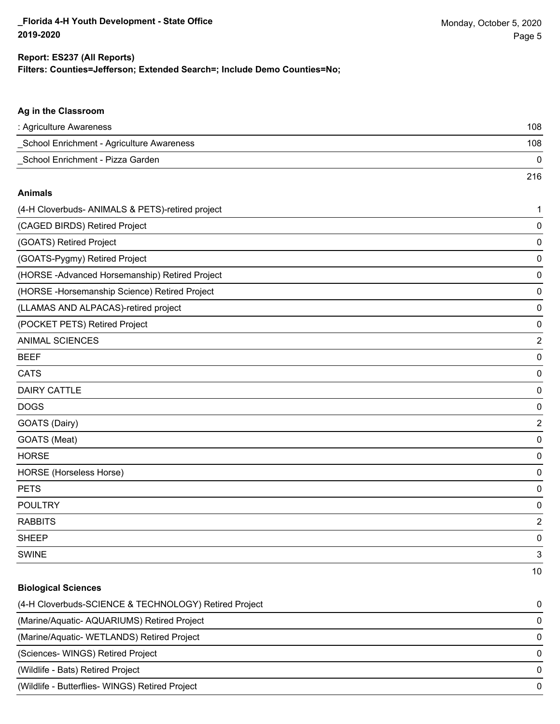#### **Filters: Counties=Jefferson; Extended Search=; Include Demo Counties=No; Report: ES237 (All Reports)**

| Ag in the Classroom                              |                |
|--------------------------------------------------|----------------|
| : Agriculture Awareness                          | 108            |
| School Enrichment - Agriculture Awareness        | 108            |
| School Enrichment - Pizza Garden                 | 0              |
|                                                  | 216            |
| <b>Animals</b>                                   |                |
| (4-H Cloverbuds- ANIMALS & PETS)-retired project | $\mathbf{1}$   |
| (CAGED BIRDS) Retired Project                    | $\mathbf 0$    |
| (GOATS) Retired Project                          | $\pmb{0}$      |
| (GOATS-Pygmy) Retired Project                    | $\pmb{0}$      |
| (HORSE-Advanced Horsemanship) Retired Project    | $\mathbf 0$    |
| (HORSE-Horsemanship Science) Retired Project     | $\mathbf 0$    |
| (LLAMAS AND ALPACAS)-retired project             | $\pmb{0}$      |
| (POCKET PETS) Retired Project                    | $\pmb{0}$      |
| <b>ANIMAL SCIENCES</b>                           | $\overline{c}$ |
| <b>BEEF</b>                                      | $\mathbf 0$    |
| <b>CATS</b>                                      | $\pmb{0}$      |
| <b>DAIRY CATTLE</b>                              | $\pmb{0}$      |
| <b>DOGS</b>                                      | $\pmb{0}$      |
| GOATS (Dairy)                                    | $\overline{2}$ |
| GOATS (Meat)                                     | $\pmb{0}$      |
| <b>HORSE</b>                                     | $\pmb{0}$      |
| <b>HORSE (Horseless Horse)</b>                   | $\pmb{0}$      |
| <b>PETS</b>                                      | $\mathbf 0$    |
| <b>POULTRY</b>                                   | $\mathbf 0$    |
| <b>RABBITS</b>                                   | $\overline{2}$ |
| SHEEP                                            | $\mathbf 0$    |
| <b>SWINE</b>                                     | 3              |
|                                                  | 10             |

# **Biological Sciences** (4-H Cloverbuds-SCIENCE & TECHNOLOGY) Retired Project 0 (Marine/Aquatic- AQUARIUMS) Retired Project 0 (Marine/Aquatic- WETLANDS) Retired Project 0 (Sciences- WINGS) Retired Project 0 (Wildlife - Bats) Retired Project 0 (Wildlife - Butterflies- WINGS) Retired Project 0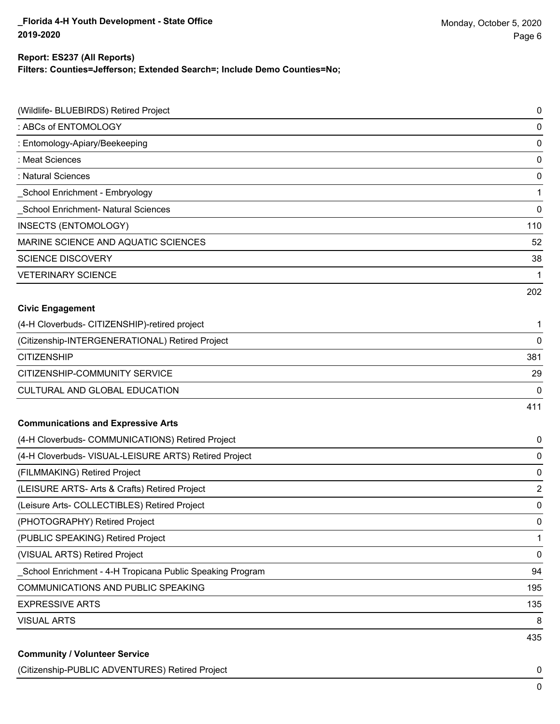# **Report: ES237 (All Reports)**

**Filters: Counties=Jefferson; Extended Search=; Include Demo Counties=No;**

| (Wildlife- BLUEBIRDS) Retired Project<br>: ABCs of ENTOMOLOGY | 0<br>0                  |
|---------------------------------------------------------------|-------------------------|
| : Entomology-Apiary/Beekeeping                                | 0                       |
| : Meat Sciences                                               | 0                       |
| : Natural Sciences                                            | 0                       |
| School Enrichment - Embryology                                | 1                       |
| School Enrichment- Natural Sciences                           | 0                       |
| <b>INSECTS (ENTOMOLOGY)</b>                                   | 110                     |
| MARINE SCIENCE AND AQUATIC SCIENCES                           | 52                      |
| <b>SCIENCE DISCOVERY</b>                                      | 38                      |
| <b>VETERINARY SCIENCE</b>                                     | 1                       |
|                                                               | 202                     |
| <b>Civic Engagement</b>                                       |                         |
| (4-H Cloverbuds- CITIZENSHIP)-retired project                 | 1                       |
| (Citizenship-INTERGENERATIONAL) Retired Project               | 0                       |
| <b>CITIZENSHIP</b>                                            | 381                     |
| CITIZENSHIP-COMMUNITY SERVICE                                 | 29                      |
| CULTURAL AND GLOBAL EDUCATION                                 | 0                       |
|                                                               | 411                     |
| <b>Communications and Expressive Arts</b>                     |                         |
| (4-H Cloverbuds- COMMUNICATIONS) Retired Project              | 0                       |
| (4-H Cloverbuds- VISUAL-LEISURE ARTS) Retired Project         | 0                       |
| (FILMMAKING) Retired Project                                  | 0                       |
| (LEISURE ARTS- Arts & Crafts) Retired Project                 | $\overline{\mathbf{c}}$ |
| (Leisure Arts- COLLECTIBLES) Retired Project                  | 0                       |
| (PHOTOGRAPHY) Retired Project                                 | 0                       |
| (PUBLIC SPEAKING) Retired Project                             | 1                       |
| (VISUAL ARTS) Retired Project                                 | 0                       |
| School Enrichment - 4-H Tropicana Public Speaking Program     | 94                      |
| COMMUNICATIONS AND PUBLIC SPEAKING                            | 195                     |
| <b>EXPRESSIVE ARTS</b>                                        | 135                     |
| <b>VISUAL ARTS</b>                                            | 8                       |
|                                                               | 435                     |

(Citizenship-PUBLIC ADVENTURES) Retired Project 0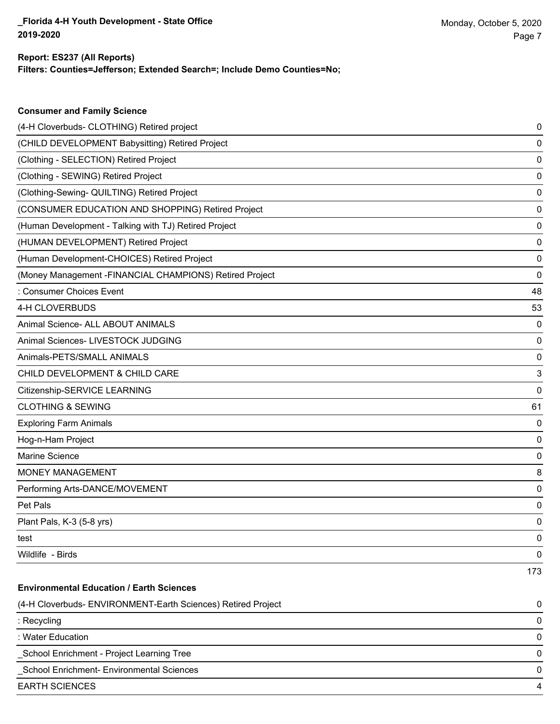**Consumer and Family Science**

### **Filters: Counties=Jefferson; Extended Search=; Include Demo Counties=No; Report: ES237 (All Reports)**

| (4-H Cloverbuds- CLOTHING) Retired project                   | 0   |
|--------------------------------------------------------------|-----|
| (CHILD DEVELOPMENT Babysitting) Retired Project              | 0   |
| (Clothing - SELECTION) Retired Project                       | 0   |
| (Clothing - SEWING) Retired Project                          | 0   |
| (Clothing-Sewing- QUILTING) Retired Project                  | 0   |
| (CONSUMER EDUCATION AND SHOPPING) Retired Project            | 0   |
| (Human Development - Talking with TJ) Retired Project        | 0   |
| (HUMAN DEVELOPMENT) Retired Project                          | 0   |
| (Human Development-CHOICES) Retired Project                  | 0   |
| (Money Management - FINANCIAL CHAMPIONS) Retired Project     | 0   |
| : Consumer Choices Event                                     | 48  |
| 4-H CLOVERBUDS                                               | 53  |
| Animal Science- ALL ABOUT ANIMALS                            | 0   |
| Animal Sciences- LIVESTOCK JUDGING                           | 0   |
| Animals-PETS/SMALL ANIMALS                                   | 0   |
| CHILD DEVELOPMENT & CHILD CARE                               | 3   |
| Citizenship-SERVICE LEARNING                                 | 0   |
| <b>CLOTHING &amp; SEWING</b>                                 | 61  |
| <b>Exploring Farm Animals</b>                                | 0   |
| Hog-n-Ham Project                                            | 0   |
| Marine Science                                               | 0   |
| <b>MONEY MANAGEMENT</b>                                      | 8   |
| Performing Arts-DANCE/MOVEMENT                               | 0   |
| Pet Pals                                                     | 0   |
| Plant Pals, K-3 (5-8 yrs)                                    | 0   |
| test                                                         | 0   |
| Wildlife - Birds                                             | 0   |
|                                                              | 173 |
| <b>Environmental Education / Earth Sciences</b>              |     |
| (4-H Cloverbuds- ENVIRONMENT-Earth Sciences) Retired Project | 0   |
| : Recycling                                                  | 0   |
| : Water Education                                            | 0   |
| School Enrichment - Project Learning Tree                    | 0   |
| School Enrichment- Environmental Sciences                    | 0   |
| <b>EARTH SCIENCES</b>                                        | 4   |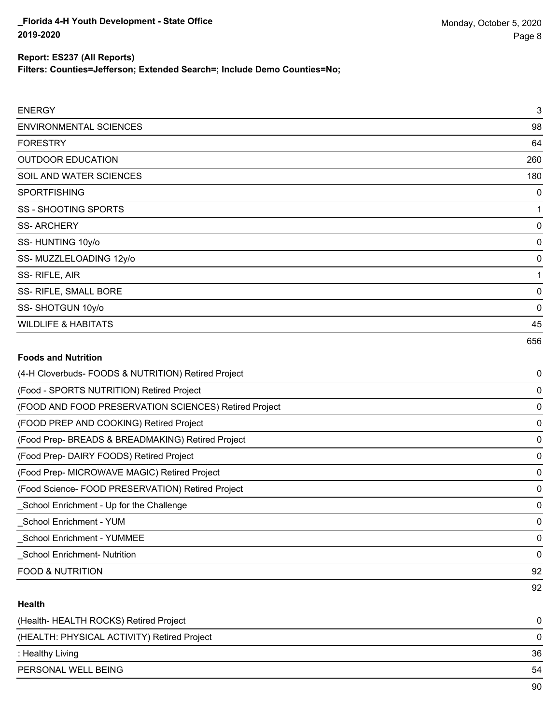**Filters: Counties=Jefferson; Extended Search=; Include Demo Counties=No;**

| <b>ENERGY</b>                  | $\sqrt{3}$  |
|--------------------------------|-------------|
| <b>ENVIRONMENTAL SCIENCES</b>  | 98          |
| <b>FORESTRY</b>                | 64          |
| <b>OUTDOOR EDUCATION</b>       | 260         |
| SOIL AND WATER SCIENCES        | 180         |
| <b>SPORTFISHING</b>            | 0           |
| SS - SHOOTING SPORTS           | $\mathbf 1$ |
| <b>SS-ARCHERY</b>              | 0           |
| SS-HUNTING 10y/o               | 0           |
| SS-MUZZLELOADING 12y/o         | 0           |
| SS-RIFLE, AIR                  | 1           |
| SS- RIFLE, SMALL BORE          | 0           |
| SS-SHOTGUN 10y/o               | 0           |
| <b>WILDLIFE &amp; HABITATS</b> | 45          |
|                                | 656         |

# **Foods and Nutrition**

| (4-H Cloverbuds- FOODS & NUTRITION) Retired Project   | 0  |
|-------------------------------------------------------|----|
| (Food - SPORTS NUTRITION) Retired Project             | 0  |
| (FOOD AND FOOD PRESERVATION SCIENCES) Retired Project | 0  |
| (FOOD PREP AND COOKING) Retired Project               | 0  |
| (Food Prep- BREADS & BREADMAKING) Retired Project     | 0  |
| (Food Prep-DAIRY FOODS) Retired Project               | 0  |
| (Food Prep- MICROWAVE MAGIC) Retired Project          | 0  |
| (Food Science- FOOD PRESERVATION) Retired Project     | 0  |
| School Enrichment - Up for the Challenge              | 0  |
| School Enrichment - YUM                               | 0  |
| <b>School Enrichment - YUMMEE</b>                     | 0  |
| <b>School Enrichment- Nutrition</b>                   | 0  |
| <b>FOOD &amp; NUTRITION</b>                           | 92 |
|                                                       | 92 |

# **Health**

| (Health- HEALTH ROCKS) Retired Project      | 0  |
|---------------------------------------------|----|
| (HEALTH: PHYSICAL ACTIVITY) Retired Project | 0  |
| : Healthy Living                            | 36 |
| PERSONAL WELL BEING                         | 54 |
|                                             | 90 |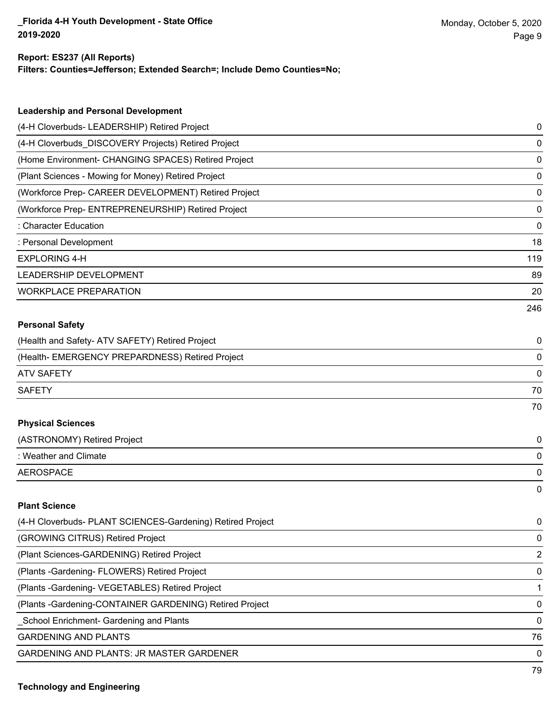#### **Report: ES237 (All Reports)**

**Filters: Counties=Jefferson; Extended Search=; Include Demo Counties=No;**

| <b>Leadership and Personal Development</b>                 |                |
|------------------------------------------------------------|----------------|
| (4-H Cloverbuds- LEADERSHIP) Retired Project               | 0              |
| (4-H Cloverbuds_DISCOVERY Projects) Retired Project        | 0              |
| (Home Environment- CHANGING SPACES) Retired Project        | 0              |
| (Plant Sciences - Mowing for Money) Retired Project        | 0              |
| (Workforce Prep- CAREER DEVELOPMENT) Retired Project       | 0              |
| (Workforce Prep- ENTREPRENEURSHIP) Retired Project         | 0              |
| : Character Education                                      | 0              |
| : Personal Development                                     | 18             |
| <b>EXPLORING 4-H</b>                                       | 119            |
| LEADERSHIP DEVELOPMENT                                     | 89             |
| <b>WORKPLACE PREPARATION</b>                               | 20             |
|                                                            | 246            |
| <b>Personal Safety</b>                                     |                |
| (Health and Safety- ATV SAFETY) Retired Project            | 0              |
| (Health- EMERGENCY PREPARDNESS) Retired Project            | 0              |
| <b>ATV SAFETY</b>                                          | 0              |
| <b>SAFETY</b>                                              | 70             |
|                                                            | 70             |
| <b>Physical Sciences</b>                                   |                |
| (ASTRONOMY) Retired Project                                | 0              |
| : Weather and Climate                                      | 0              |
| <b>AEROSPACE</b>                                           | 0              |
|                                                            | 0              |
| <b>Plant Science</b>                                       |                |
| (4-H Cloverbuds- PLANT SCIENCES-Gardening) Retired Project | 0              |
| (GROWING CITRUS) Retired Project                           | 0              |
| (Plant Sciences-GARDENING) Retired Project                 | $\overline{c}$ |
| (Plants - Gardening - FLOWERS) Retired Project             | 0              |
| (Plants - Gardening - VEGETABLES) Retired Project          | 1              |
| (Plants - Gardening-CONTAINER GARDENING) Retired Project   | 0              |
| School Enrichment- Gardening and Plants                    | 0              |
| <b>GARDENING AND PLANTS</b>                                | 76             |
|                                                            |                |

GARDENING AND PLANTS: JR MASTER GARDENER 0